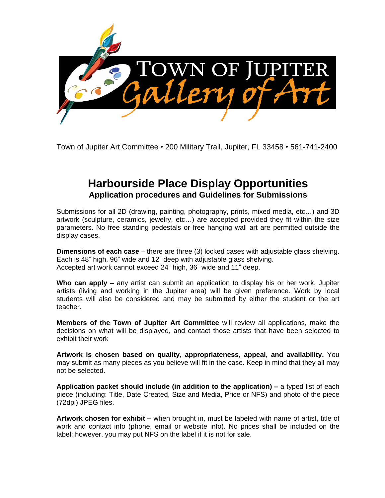

Town of Jupiter Art Committee • 200 Military Trail, Jupiter, FL 33458 • 561-741-2400

# **Harbourside Place Display Opportunities Application procedures and Guidelines for Submissions**

Submissions for all 2D (drawing, painting, photography, prints, mixed media, etc…) and 3D artwork (sculpture, ceramics, jewelry, etc…) are accepted provided they fit within the size parameters. No free standing pedestals or free hanging wall art are permitted outside the display cases.

**Dimensions of each case** – there are three (3) locked cases with adjustable glass shelving. Each is 48" high, 96" wide and 12" deep with adjustable glass shelving. Accepted art work cannot exceed 24" high, 36" wide and 11" deep.

**Who can apply –** any artist can submit an application to display his or her work. Jupiter artists (living and working in the Jupiter area) will be given preference. Work by local students will also be considered and may be submitted by either the student or the art teacher.

**Members of the Town of Jupiter Art Committee** will review all applications, make the decisions on what will be displayed, and contact those artists that have been selected to exhibit their work

**Artwork is chosen based on quality, appropriateness, appeal, and availability.** You may submit as many pieces as you believe will fit in the case. Keep in mind that they all may not be selected.

**Application packet should include (in addition to the application) –** a typed list of each piece (including: Title, Date Created, Size and Media, Price or NFS) and photo of the piece (72dpi) JPEG files.

**Artwork chosen for exhibit –** when brought in, must be labeled with name of artist, title of work and contact info (phone, email or website info). No prices shall be included on the label; however, you may put NFS on the label if it is not for sale.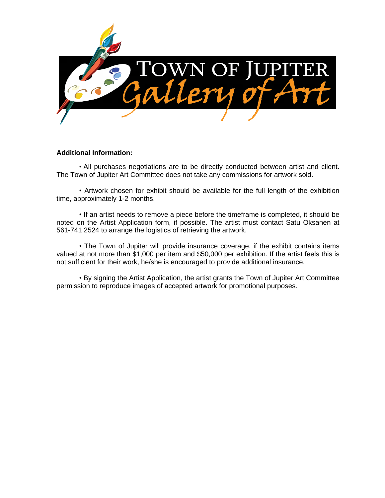

#### **Additional Information:**

• All purchases negotiations are to be directly conducted between artist and client. The Town of Jupiter Art Committee does not take any commissions for artwork sold.

• Artwork chosen for exhibit should be available for the full length of the exhibition time, approximately 1-2 months.

• If an artist needs to remove a piece before the timeframe is completed, it should be noted on the Artist Application form, if possible. The artist must contact Satu Oksanen at 561-741 2524 to arrange the logistics of retrieving the artwork.

• The Town of Jupiter will provide insurance coverage. if the exhibit contains items valued at not more than \$1,000 per item and \$50,000 per exhibition. If the artist feels this is not sufficient for their work, he/she is encouraged to provide additional insurance.

• By signing the Artist Application, the artist grants the Town of Jupiter Art Committee permission to reproduce images of accepted artwork for promotional purposes.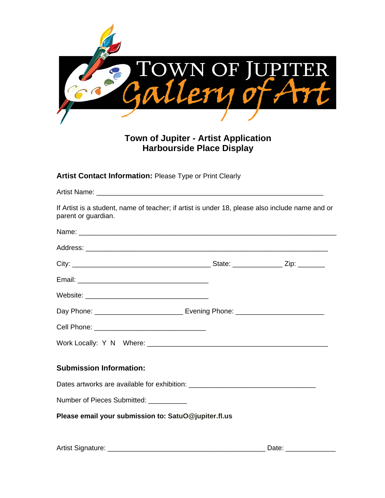

## **Town of Jupiter - Artist Application Harbourside Place Display**

**Artist Contact Information:** Please Type or Print Clearly

Artist Name: **Artist Name**: **Artist Name**: **Artist Name**: **Artist Name**: **Artist Name**: **Artist Name: Artist Name: Artist Name: Artist Name: Artist Name: Artist Name: Artist Name: Artist Name: Artist Name:** 

If Artist is a student, name of teacher; if artist is under 18, please also include name and or parent or guardian.

| Day Phone: __________________________________ Evening Phone: ___________________ |  |  |  |
|----------------------------------------------------------------------------------|--|--|--|
|                                                                                  |  |  |  |
|                                                                                  |  |  |  |
| <b>Submission Information:</b>                                                   |  |  |  |
| Dates artworks are available for exhibition: ___________________________________ |  |  |  |
| Number of Pieces Submitted: __________                                           |  |  |  |
| Please email your submission to: SatuO@jupiter.fl.us                             |  |  |  |
|                                                                                  |  |  |  |
|                                                                                  |  |  |  |

Artist Signature: \_\_\_\_\_\_\_\_\_\_\_\_\_\_\_\_\_\_\_\_\_\_\_\_\_\_\_\_\_\_\_\_\_\_\_\_\_\_\_\_\_ Date: \_\_\_\_\_\_\_\_\_\_\_\_\_